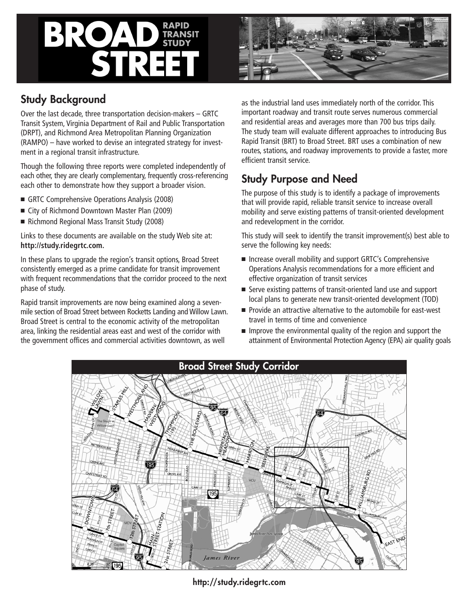# BROA STRE



## Study Background

Over the last decade, three transportation decision-makers – GRTC Transit System, Virginia Department of Rail and Public Transportation (DRPT), and Richmond Area Metropolitan Planning Organization (RAMPO) – have worked to devise an integrated strategy for investment in a regional transit infrastructure.

Though the following three reports were completed independently of each other, they are clearly complementary, frequently cross-referencing each other to demonstrate how they support a broader vision.

- GRTC Comprehensive Operations Analysis (2008)
- City of Richmond Downtown Master Plan (2009)
- Richmond Regional Mass Transit Study (2008)

Links to these documents are available on the study Web site at: **http://study.ridegrtc.com.**

In these plans to upgrade the region's transit options, Broad Street consistently emerged as a prime candidate for transit improvement with frequent recommendations that the corridor proceed to the next phase of study.

Rapid transit improvements are now being examined along a sevenmile section of Broad Street between Rocketts Landing and Willow Lawn. Broad Street is central to the economic activity of the metropolitan area, linking the residential areas east and west of the corridor with the government offices and commercial activities downtown, as well

as the industrial land uses immediately north of the corridor. This important roadway and transit route serves numerous commercial and residential areas and averages more than 700 bus trips daily. The study team will evaluate different approaches to introducing Bus Rapid Transit (BRT) to Broad Street. BRT uses a combination of new routes, stations, and roadway improvements to provide a faster, more efficient transit service.

## Study Purpose and Need

The purpose of this study is to identify a package of improvements that will provide rapid, reliable transit service to increase overall mobility and serve existing patterns of transit-oriented development and redevelopment in the corridor.

This study will seek to identify the transit improvement(s) best able to serve the following key needs:

- Increase overall mobility and support GRTC's Comprehensive Operations Analysis recommendations for a more efficient and effective organization of transit services
- Serve existing patterns of transit-oriented land use and support local plans to generate new transit-oriented development (TOD)
- Provide an attractive alternative to the automobile for east-west travel in terms of time and convenience
- $\blacksquare$  Improve the environmental quality of the region and support the attainment of Environmental Protection Agency (EPA) air quality goals



http://study.ridegrtc.com